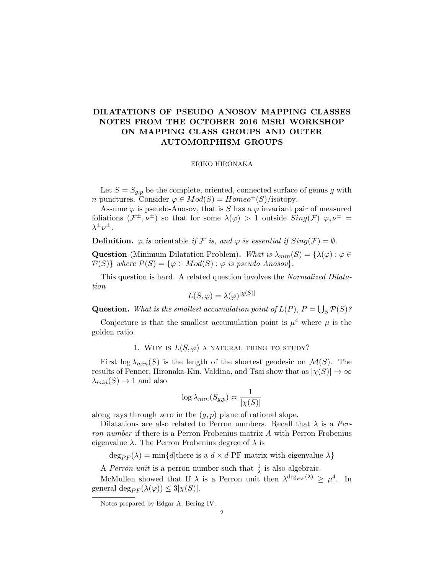# DILATATIONS OF PSEUDO ANOSOV MAPPING CLASSES NOTES FROM THE OCTOBER 2016 MSRI WORKSHOP ON MAPPING CLASS GROUPS AND OUTER AUTOMORPHISM GROUPS

#### ERIKO HIRONAKA

Let  $S = S_{q,p}$  be the complete, oriented, connected surface of genus g with *n* punctures. Consider  $\varphi \in Mod(S) = Homeo^+(S)/isotopy$ .

Assume  $\varphi$  is pseudo-Anosov, that is S has a  $\varphi$  invariant pair of measured foliations  $(\mathcal{F}^{\pm}, \nu^{\pm})$  so that for some  $\lambda(\varphi) > 1$  outside  $Sing(\mathcal{F})$   $\varphi_* \nu^{\pm} =$  $\lambda^{\pm} \nu^{\pm}$ .

**Definition.**  $\varphi$  is orientable if F is, and  $\varphi$  is essential if  $Sing(\mathcal{F}) = \emptyset$ .

Question (Minimum Dilatation Problem). What is  $\lambda_{min}(S) = {\lambda(\varphi) : \varphi \in \varphi}$  $P(S)$  where  $P(S) = {\varphi \in Mod(S) : \varphi \text{ is pseudo Anosov}}.$ 

This question is hard. A related question involves the Normalized Dilatation

$$
L(S, \varphi) = \lambda(\varphi)^{|\chi(S)|}
$$

**Question.** What is the smallest accumulation point of  $L(P)$ ,  $P = \bigcup_S \mathcal{P}(S)$ ?

Conjecture is that the smallest accumulation point is  $\mu^4$  where  $\mu$  is the golden ratio.

1. WHY IS  $L(S, \varphi)$  a natural thing to study?

First  $\log \lambda_{min}(S)$  is the length of the shortest geodesic on  $\mathcal{M}(S)$ . The results of Penner, Hironaka-Kin, Valdina, and Tsai show that as  $|\chi(S)| \to \infty$  $\lambda_{min}(S) \rightarrow 1$  and also

$$
\log \lambda_{min}(S_{g,p}) \asymp \frac{1}{|\chi(S)|}
$$

along rays through zero in the  $(g, p)$  plane of rational slope.

Dilatations are also related to Perron numbers. Recall that  $\lambda$  is a Perron number if there is a Perron Frobenius matrix A with Perron Frobenius eigenvalue  $\lambda$ . The Perron Frobenius degree of  $\lambda$  is

 $\deg_{PF}(\lambda) = \min\{d | \text{there is a } d \times d \text{ PF matrix with eigenvalue } \lambda\}$ 

A *Perron unit* is a perron number such that  $\frac{1}{\lambda}$  is also algebraic.

McMullen showed that If  $\lambda$  is a Perron unit then  $\lambda^{\deg_{PF}(\lambda)} \geq \mu^4$ . In general deg<sub> $PF$ </sub>  $(\lambda(\varphi)) \leq 3|\chi(S)|$ .

Notes prepared by Edgar A. Bering IV.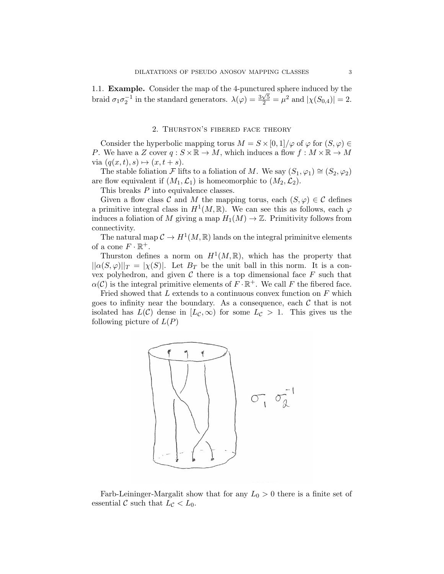1.1. **Example.** Consider the map of the 4-punctured sphere induced by the braid  $\sigma_1 \sigma_2^{-1}$  in the standard generators.  $\lambda(\varphi) = \frac{3\sqrt{5}}{2} = \mu^2$  and  $|\chi(S_{0,4})| = 2$ .

## 2. Thurston's fibered face theory

Consider the hyperbolic mapping torus  $M = S \times [0, 1] / \varphi$  of  $\varphi$  for  $(S, \varphi) \in$ P. We have a Z cover  $q: S \times \mathbb{R} \to M$ , which induces a flow  $f: M \times \mathbb{R} \to M$ via  $(q(x, t), s) \mapsto (x, t + s).$ 

The stable foliation F lifts to a foliation of M. We say  $(S_1, \varphi_1) \cong (S_2, \varphi_2)$ are flow equivalent if  $(M_1, \mathcal{L}_1)$  is homeomorphic to  $(M_2, \mathcal{L}_2)$ .

This breaks P into equivalence classes.

Given a flow class C and M the mapping torus, each  $(S, \varphi) \in \mathcal{C}$  defines a primitive integral class in  $H^1(M,\mathbb{R})$ . We can see this as follows, each  $\varphi$ induces a foliation of M giving a map  $H_1(M) \to \mathbb{Z}$ . Primitivity follows from connectivity.

The natural map  $C \to H^1(M,\mathbb{R})$  lands on the integral priminitive elements of a cone  $F \cdot \mathbb{R}^+$ .

Thurston defines a norm on  $H^1(M,\mathbb{R})$ , which has the property that  $||\alpha(S,\varphi)||_T = |\chi(S)|$ . Let  $B_T$  be the unit ball in this norm. It is a convex polyhedron, and given  $\mathcal C$  there is a top dimensional face  $F$  such that  $\alpha(\mathcal{C})$  is the integral primitive elements of  $F \cdot \mathbb{R}^+$ . We call F the fibered face.

Fried showed that  $L$  extends to a continuous convex function on  $F$  which goes to infinity near the boundary. As a consequence, each  $\mathcal C$  that is not isolated has  $L(\mathcal{C})$  dense in  $[L_{\mathcal{C}}, \infty)$  for some  $L_{\mathcal{C}} > 1$ . This gives us the following picture of  $L(P)$ 



Farb-Leininger-Margalit show that for any  $L_0 > 0$  there is a finite set of essential C such that  $L_{\mathcal{C}} < L_0$ .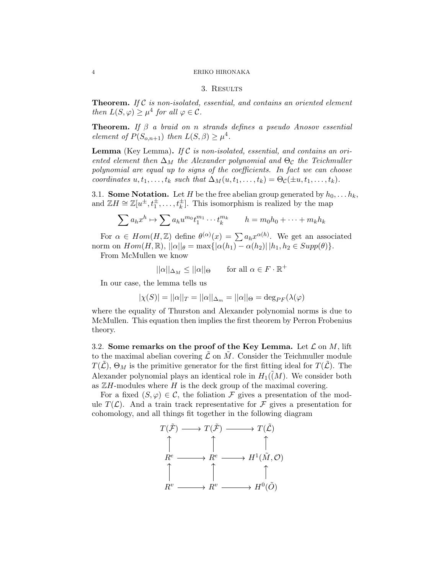#### 4 ERIKO HIRONAKA

## 3. Results

**Theorem.** If  $C$  is non-isolated, essential, and contains an oriented element then  $L(S, \varphi) \geq \mu^4$  for all  $\varphi \in \mathcal{C}$ .

**Theorem.** If  $\beta$  a braid on n strands defines a pseudo Anosov essential element of  $P(S_{o,n+1})$  then  $L(S, \beta) \geq \mu^4$ .

**Lemma** (Key Lemma). If  $C$  is non-isolated, essential, and contains an oriented element then  $\Delta_M$  the Alexander polynomial and  $\Theta_{\mathcal{C}}$  the Teichmuller polynomial are equal up to signs of the coefficients. In fact we can choose coordinates  $u, t_1, \ldots, t_k$  such that  $\Delta_M(u, t_1, \ldots, t_k) = \Theta_c(\pm u, t_1, \ldots, t_k)$ .

3.1. Some Notation. Let H be the free abelian group generated by  $h_0, \ldots h_k$ , and  $\mathbb{Z}H \cong \mathbb{Z}[u^{\pm}, t_1^{\pm}, \ldots, t_k^{\pm}].$  This isomorphism is realized by the map

$$
\sum a_h x^h \mapsto \sum a_h u^{m_0} t_1^{m_1} \cdots t_k^{m_k} \qquad h = m_0 h_0 + \cdots + m_k h_k
$$

For  $\alpha \in Hom(H, \mathbb{Z})$  define  $\theta^{(\alpha)}(x) = \sum a_h x^{\alpha(h)}$ . We get an associated norm on  $Hom(H, \mathbb{R}), ||\alpha||_{\theta} = \max\{|\alpha(h_1) - \alpha(h_2)| | h_1, h_2 \in Supp(\theta)\}.$ 

From McMullen we know

$$
||\alpha||_{\Delta_M} \le ||\alpha||_{\Theta} \quad \text{for all } \alpha \in F \cdot \mathbb{R}^+
$$

In our case, the lemma tells us

$$
|\chi(S)| = ||\alpha||_T = ||\alpha||_{\Delta_m} = ||\alpha||_{\Theta} = \deg_{PF}(\lambda(\varphi))
$$

where the equality of Thurston and Alexander polynomial norms is due to McMullen. This equation then implies the first theorem by Perron Frobenius theory.

3.2. Some remarks on the proof of the Key Lemma. Let  $\mathcal L$  on  $M$ , lift to the maximal abelian covering  $\mathcal L$  on M. Consider the Teichmuller module  $T(\mathcal{L}), \Theta_M$  is the primitive generator for the first fitting ideal for  $T(\mathcal{L})$ . The Alexander polynomial plays an identical role in  $H_1(\tilde(M))$ . We consider both as  $\mathbb{Z}H$ -modules where H is the deck group of the maximal covering.

For a fixed  $(S, \varphi) \in \mathcal{C}$ , the foliation  $\mathcal F$  gives a presentation of the module  $T(\mathcal{L})$ . And a train track representative for F gives a presentation for cohomology, and all things fit together in the following diagram